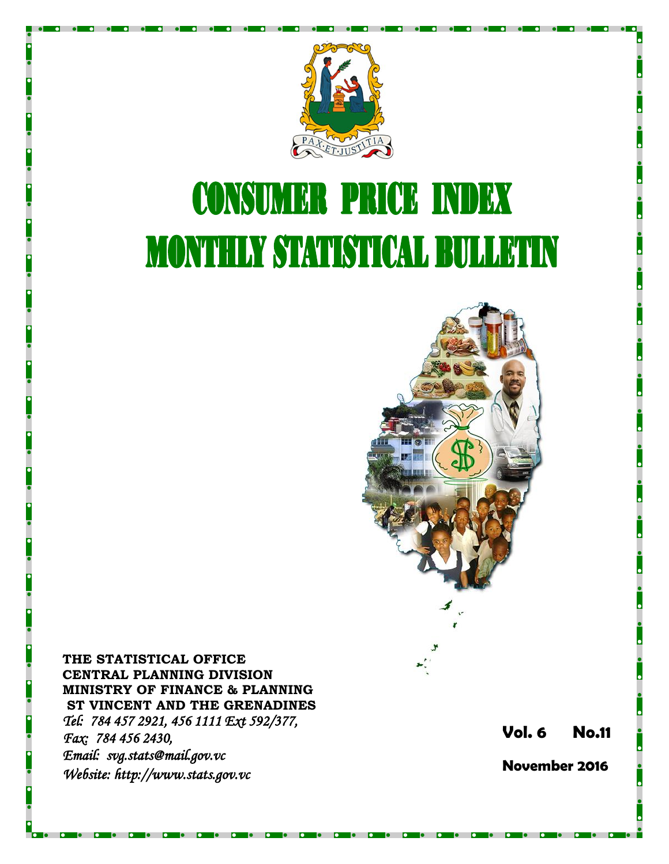

# **CONSUMER PRICE INDEX MONTHLY STATISTICAL BULLETIN**



**THE STATISTICAL OFFICE CENTRAL PLANNING DIVISION MINISTRY OF FINANCE & PLANNING ST VINCENT AND THE GRENADINES** *Tel: 784 457 2921, 456 1111 Ext 592/377, Fax: 784 456 2430, Email: svg.stats@mail.gov.vc Website: http://www.stats.gov.vc* 

**Vol. 6 No. 1 1**

**November 2016**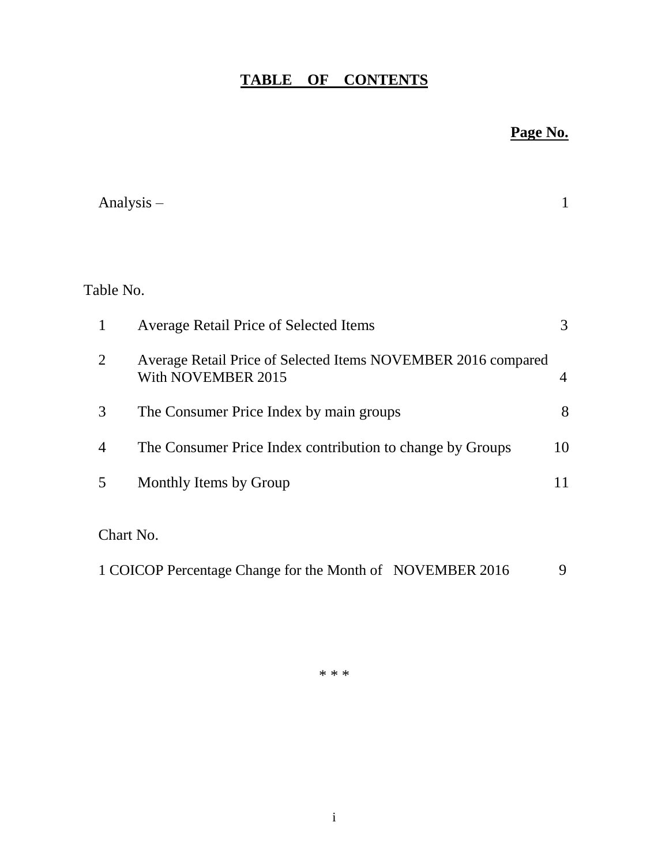# **TABLE OF CONTENTS**

# **Page No.**

| Analysis $-$   |                                                                                     | 1              |
|----------------|-------------------------------------------------------------------------------------|----------------|
|                |                                                                                     |                |
| Table No.      |                                                                                     |                |
| $\mathbf{1}$   | <b>Average Retail Price of Selected Items</b>                                       | 3              |
| 2              | Average Retail Price of Selected Items NOVEMBER 2016 compared<br>With NOVEMBER 2015 | $\overline{4}$ |
| 3              | The Consumer Price Index by main groups                                             | 8              |
| $\overline{4}$ | The Consumer Price Index contribution to change by Groups                           | 10             |
| 5              | Monthly Items by Group                                                              | 11             |
| Chart No.      |                                                                                     |                |
|                | 1 COICOP Percentage Change for the Month of NOVEMBER 2016                           | 9              |

\* \* \*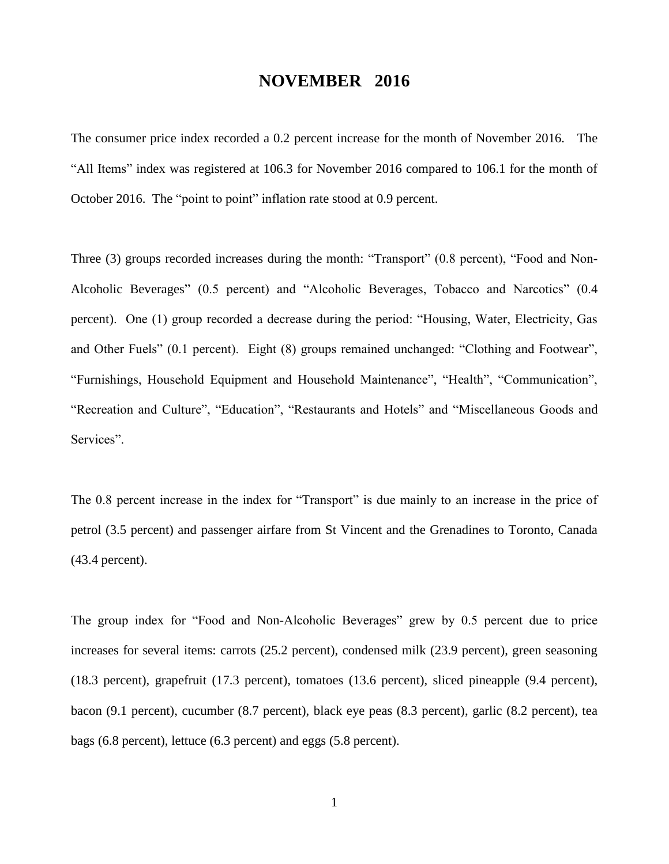## **NOVEMBER 2016**

The consumer price index recorded a 0.2 percent increase for the month of November 2016. The "All Items" index was registered at 106.3 for November 2016 compared to 106.1 for the month of October 2016. The "point to point" inflation rate stood at 0.9 percent.

Three (3) groups recorded increases during the month: "Transport" (0.8 percent), "Food and Non-Alcoholic Beverages" (0.5 percent) and "Alcoholic Beverages, Tobacco and Narcotics" (0.4 percent). One (1) group recorded a decrease during the period: "Housing, Water, Electricity, Gas and Other Fuels" (0.1 percent). Eight (8) groups remained unchanged: "Clothing and Footwear", "Furnishings, Household Equipment and Household Maintenance", "Health", "Communication", "Recreation and Culture", "Education", "Restaurants and Hotels" and "Miscellaneous Goods and Services".

The 0.8 percent increase in the index for "Transport" is due mainly to an increase in the price of petrol (3.5 percent) and passenger airfare from St Vincent and the Grenadines to Toronto, Canada (43.4 percent).

The group index for "Food and Non-Alcoholic Beverages" grew by 0.5 percent due to price increases for several items: carrots (25.2 percent), condensed milk (23.9 percent), green seasoning (18.3 percent), grapefruit (17.3 percent), tomatoes (13.6 percent), sliced pineapple (9.4 percent), bacon (9.1 percent), cucumber (8.7 percent), black eye peas (8.3 percent), garlic (8.2 percent), tea bags (6.8 percent), lettuce (6.3 percent) and eggs (5.8 percent).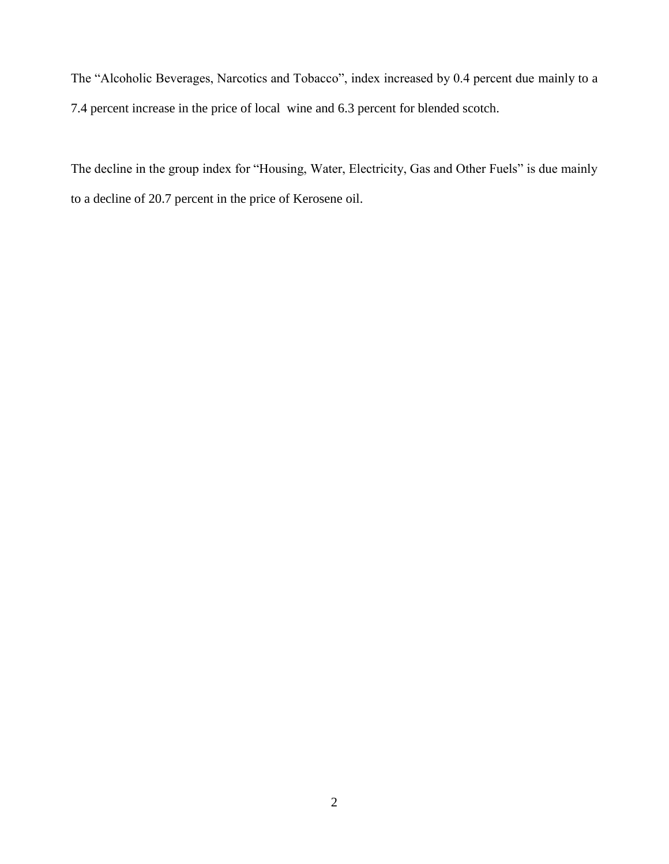The "Alcoholic Beverages, Narcotics and Tobacco", index increased by 0.4 percent due mainly to a 7.4 percent increase in the price of local wine and 6.3 percent for blended scotch.

The decline in the group index for "Housing, Water, Electricity, Gas and Other Fuels" is due mainly to a decline of 20.7 percent in the price of Kerosene oil.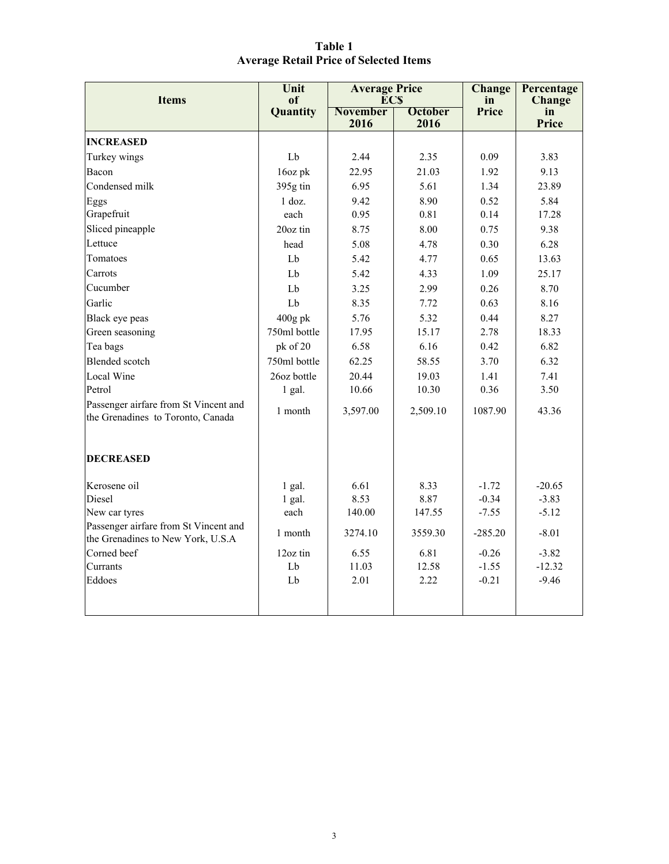| Table 1                                       |  |
|-----------------------------------------------|--|
| <b>Average Retail Price of Selected Items</b> |  |

| <b>Items</b>                                                               | Unit<br>оf   | <b>Average Price</b><br><b>ECS</b> |                | Change<br>in | Percentage<br><b>Change</b> |
|----------------------------------------------------------------------------|--------------|------------------------------------|----------------|--------------|-----------------------------|
|                                                                            | Quantity     | <b>November</b>                    | <b>October</b> | Price        | in                          |
|                                                                            |              | 2016                               | 2016           |              | Price                       |
| <b>INCREASED</b>                                                           |              |                                    |                |              |                             |
| Turkey wings                                                               | Lb           | 2.44                               | 2.35           | 0.09         | 3.83                        |
| Bacon                                                                      | 16oz pk      | 22.95                              | 21.03          | 1.92         | 9.13                        |
| Condensed milk                                                             | 395g tin     | 6.95                               | 5.61           | 1.34         | 23.89                       |
| Eggs                                                                       | $1$ doz.     | 9.42                               | 8.90           | 0.52         | 5.84                        |
| Grapefruit                                                                 | each         | 0.95                               | 0.81           | 0.14         | 17.28                       |
| Sliced pineapple                                                           | 20oz tin     | 8.75                               | 8.00           | 0.75         | 9.38                        |
| Lettuce                                                                    | head         | 5.08                               | 4.78           | 0.30         | 6.28                        |
| Tomatoes                                                                   | Lb           | 5.42                               | 4.77           | 0.65         | 13.63                       |
| Carrots                                                                    | Lb           | 5.42                               | 4.33           | 1.09         | 25.17                       |
| Cucumber                                                                   | Lb           | 3.25                               | 2.99           | 0.26         | 8.70                        |
| Garlic                                                                     | Lb           | 8.35                               | 7.72           | 0.63         | 8.16                        |
| Black eye peas                                                             | $400g$ pk    | 5.76                               | 5.32           | 0.44         | 8.27                        |
| Green seasoning                                                            | 750ml bottle | 15.17<br>17.95                     |                | 2.78         | 18.33                       |
| Tea bags                                                                   | pk of 20     | 6.58                               | 6.16           | 0.42         | 6.82                        |
| <b>Blended</b> scotch                                                      | 750ml bottle | 62.25                              | 58.55          |              | 6.32                        |
| Local Wine                                                                 | 26oz bottle  | 20.44                              | 19.03          | 1.41         | 7.41                        |
| Petrol                                                                     | 1 gal.       | 10.66                              | 10.30          | 0.36         | 3.50                        |
| Passenger airfare from St Vincent and<br>the Grenadines to Toronto, Canada | 1 month      | 3,597.00                           | 2,509.10       | 1087.90      | 43.36                       |
| <b>DECREASED</b>                                                           |              |                                    |                |              |                             |
| Kerosene oil                                                               | $1$ gal.     | 6.61                               | 8.33           | $-1.72$      | $-20.65$                    |
| Diesel                                                                     | $1$ gal.     | 8.53                               | 8.87           | $-0.34$      | $-3.83$                     |
| New car tyres                                                              | each         | 140.00                             | 147.55         | $-7.55$      | $-5.12$                     |
| Passenger airfare from St Vincent and<br>the Grenadines to New York, U.S.A | 1 month      | 3274.10                            | 3559.30        | $-285.20$    | $-8.01$                     |
| Corned beef                                                                | 12oz tin     | 6.55                               | 6.81           | $-0.26$      | $-3.82$                     |
| Currants                                                                   | Lb           | 11.03                              | 12.58          | $-1.55$      | $-12.32$                    |
| Eddoes                                                                     | Lb           | 2.01                               | 2.22           | $-0.21$      | $-9.46$                     |
|                                                                            |              |                                    |                |              |                             |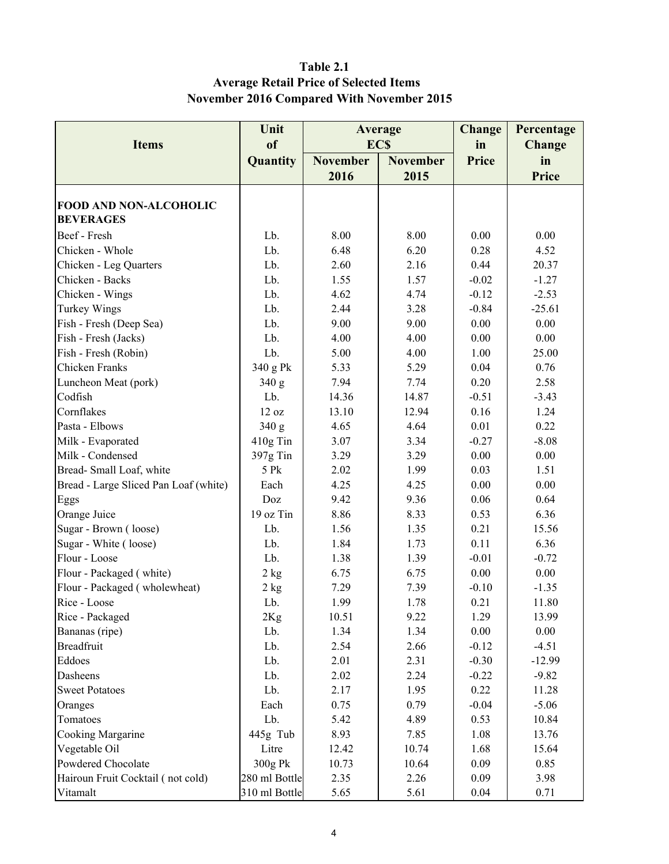### Table 2.1 Average Retail Price of Selected Items November 2016 Compared With November 2015

|                                       | Unit              | Average         |                 | <b>Change</b> | Percentage    |
|---------------------------------------|-------------------|-----------------|-----------------|---------------|---------------|
| <b>Items</b>                          | of                | <b>ECS</b>      |                 | in            | <b>Change</b> |
|                                       | Quantity          | <b>November</b> | <b>November</b> | Price         | in            |
|                                       |                   | 2016            | 2015            |               | <b>Price</b>  |
|                                       |                   |                 |                 |               |               |
| <b>FOOD AND NON-ALCOHOLIC</b>         |                   |                 |                 |               |               |
| <b>BEVERAGES</b>                      |                   |                 |                 |               |               |
| Beef - Fresh                          | Lb.               | 8.00            | 8.00            | 0.00          | 0.00          |
| Chicken - Whole                       | Lb.               | 6.48            | 6.20            | 0.28          | 4.52          |
| Chicken - Leg Quarters                | Lb.               | 2.60            | 2.16            | 0.44          | 20.37         |
| Chicken - Backs                       | Lb.               | 1.55            | 1.57            | $-0.02$       | $-1.27$       |
| Chicken - Wings                       | Lb.               | 4.62            | 4.74            | $-0.12$       | $-2.53$       |
| <b>Turkey Wings</b>                   | Lb.               | 2.44            | 3.28            | $-0.84$       | $-25.61$      |
| Fish - Fresh (Deep Sea)               | Lb.               | 9.00            | 9.00            | 0.00          | 0.00          |
| Fish - Fresh (Jacks)                  | Lb.               | 4.00            | 4.00            | 0.00          | 0.00          |
| Fish - Fresh (Robin)                  | Lb.               | 5.00            | 4.00            | 1.00          | 25.00         |
| Chicken Franks                        | 340 g Pk          | 5.33            | 5.29            | 0.04          | 0.76          |
| Luncheon Meat (pork)                  | 340 g             | 7.94            | 7.74            | 0.20          | 2.58          |
| Codfish                               | Lb.               | 14.36           | 14.87           | $-0.51$       | $-3.43$       |
| Cornflakes                            | 12 oz             | 13.10           | 12.94           | 0.16          | 1.24          |
| Pasta - Elbows                        | 340 g             | 4.65            | 4.64            | 0.01          | 0.22          |
| Milk - Evaporated                     | 410g Tin          | 3.07            | 3.34            | $-0.27$       | $-8.08$       |
| Milk - Condensed                      | 397g Tin          | 3.29            | 3.29            | 0.00          | 0.00          |
| Bread-Small Loaf, white               | 5 Pk              | 2.02            | 1.99            | 0.03          | 1.51          |
| Bread - Large Sliced Pan Loaf (white) | Each              | 4.25            | 4.25            | 0.00          | 0.00          |
| Eggs                                  | Doz               | 9.42            | 9.36            | 0.06          | 0.64          |
| Orange Juice                          | 19 oz Tin         | 8.86            | 8.33            | 0.53          | 6.36          |
| Sugar - Brown (loose)                 | Lb.               | 1.56            | 1.35            | 0.21          | 15.56         |
| Sugar - White (loose)                 | Lb.               | 1.84            | 1.73            | 0.11          | 6.36          |
| Flour - Loose                         | Lb.               | 1.38            | 1.39            | $-0.01$       | $-0.72$       |
| Flour - Packaged (white)              | 2 kg              | 6.75            | 6.75            | 0.00          | 0.00          |
| Flour - Packaged (wholewheat)         | 2 kg              | 7.29            | 7.39            | $-0.10$       | $-1.35$       |
| Rice - Loose                          | Lb.               | 1.99            | 1.78            | 0.21          | 11.80         |
| Rice - Packaged                       | 2Kg               | 10.51           | 9.22            | 1.29          | 13.99         |
| Bananas (ripe)                        | Lb.               | 1.34            | 1.34            | 0.00          | 0.00          |
| <b>Breadfruit</b>                     | Lb.               | 2.54            | 2.66            | $-0.12$       | $-4.51$       |
| Eddoes                                | Lb.               | 2.01            | 2.31            | $-0.30$       | $-12.99$      |
| Dasheens                              | Lb.               | 2.02            | 2.24            | $-0.22$       | $-9.82$       |
| <b>Sweet Potatoes</b>                 | Lb.               | 2.17            | 1.95            | 0.22          | 11.28         |
| Oranges                               | Each              | 0.75            | 0.79            | $-0.04$       | $-5.06$       |
| Tomatoes                              | Lb.               | 5.42            | 4.89            | 0.53          | 10.84         |
| Cooking Margarine                     |                   | 8.93            |                 | 1.08          | 13.76         |
| Vegetable Oil                         | 445g Tub<br>Litre | 12.42           | 7.85            | 1.68          |               |
| Powdered Chocolate                    | 300g Pk           |                 | 10.74           | 0.09          | 15.64<br>0.85 |
| Hairoun Fruit Cocktail (not cold)     | 280 ml Bottle     | 10.73<br>2.35   | 10.64<br>2.26   | 0.09          | 3.98          |
|                                       |                   |                 |                 |               |               |
| Vitamalt                              | 310 ml Bottle     | 5.65            | 5.61            | 0.04          | 0.71          |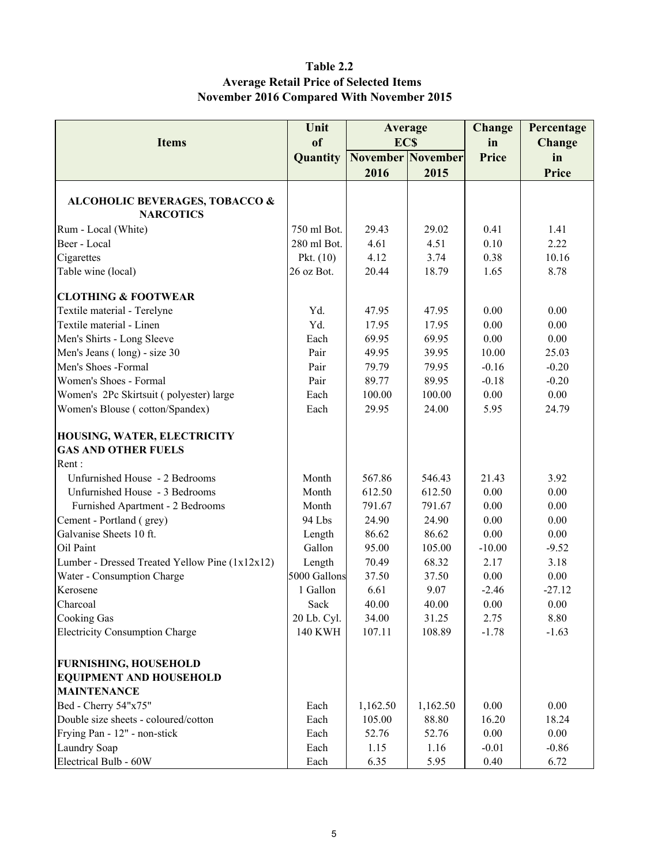#### Table 2.2 Average Retail Price of Selected Items November 2016 Compared With November 2015

|                                                                                      | Unit                                        | Average                  |                 | <b>Change</b>   | Percentage   |
|--------------------------------------------------------------------------------------|---------------------------------------------|--------------------------|-----------------|-----------------|--------------|
|                                                                                      | <sub>of</sub><br><b>ECS</b><br><b>Items</b> |                          |                 | in              | Change       |
|                                                                                      | Quantity                                    | <b>November November</b> |                 | Price           | in           |
|                                                                                      |                                             | 2016                     | 2015            |                 | <b>Price</b> |
| <b>ALCOHOLIC BEVERAGES, TOBACCO &amp;</b><br><b>NARCOTICS</b>                        |                                             |                          |                 |                 |              |
| Rum - Local (White)                                                                  | 750 ml Bot.                                 | 29.43                    | 29.02           | 0.41            | 1.41         |
| Beer - Local                                                                         | 280 ml Bot.                                 | 4.61                     | 4.51            | 0.10            | 2.22         |
| Cigarettes                                                                           | Pkt. $(10)$                                 | 4.12                     | 3.74            | 0.38            | 10.16        |
| Table wine (local)                                                                   | 26 oz Bot.                                  | 20.44                    | 18.79           | 1.65            | 8.78         |
| <b>CLOTHING &amp; FOOTWEAR</b>                                                       |                                             |                          |                 |                 |              |
| Textile material - Terelyne                                                          | Yd.                                         | 47.95                    | 47.95           | 0.00            | 0.00         |
| Textile material - Linen                                                             | Yd.                                         | 17.95                    | 17.95           | 0.00            | 0.00         |
| Men's Shirts - Long Sleeve                                                           | Each                                        | 69.95                    | 69.95           | 0.00            | 0.00         |
| Men's Jeans (long) - size 30                                                         | Pair                                        | 49.95                    | 39.95           | 10.00           | 25.03        |
| Men's Shoes -Formal                                                                  | Pair                                        | 79.79                    | 79.95           | $-0.16$         | $-0.20$      |
| Women's Shoes - Formal                                                               | Pair                                        | 89.77                    | 89.95           | $-0.18$         | $-0.20$      |
| Women's 2Pc Skirtsuit (polyester) large                                              | Each                                        | 100.00                   | 100.00          | 0.00            | 0.00         |
| Women's Blouse (cotton/Spandex)                                                      | Each                                        | 29.95                    | 24.00           | 5.95            | 24.79        |
| HOUSING, WATER, ELECTRICITY<br><b>GAS AND OTHER FUELS</b><br>Rent:                   |                                             |                          |                 |                 |              |
| Unfurnished House - 2 Bedrooms                                                       | Month                                       | 567.86                   | 546.43          | 21.43           | 3.92         |
| Unfurnished House - 3 Bedrooms                                                       | Month                                       | 612.50                   | 612.50          | 0.00            | 0.00         |
| Furnished Apartment - 2 Bedrooms                                                     | Month                                       | 791.67                   | 791.67          | 0.00            | 0.00         |
| Cement - Portland (grey)                                                             | 94 Lbs                                      | 24.90                    | 24.90           | 0.00            | 0.00         |
| Galvanise Sheets 10 ft.                                                              | Length                                      | 86.62                    | 86.62           | 0.00            | 0.00         |
| Oil Paint                                                                            | Gallon                                      | 95.00                    | 105.00          | $-10.00$        | $-9.52$      |
| Lumber - Dressed Treated Yellow Pine (1x12x12)                                       | Length                                      | 70.49                    | 68.32           | 2.17            | 3.18         |
| Water - Consumption Charge                                                           | 5000 Gallons                                | 37.50                    | 37.50           | 0.00            | $0.00\,$     |
| Kerosene                                                                             | 1 Gallon                                    | 6.61                     | 9.07            | $-2.46$         | $-27.12$     |
| Charcoal                                                                             | Sack                                        | 40.00                    | 40.00           | 0.00            | 0.00         |
|                                                                                      |                                             |                          |                 |                 | 8.80         |
| <b>Cooking Gas</b><br><b>Electricity Consumption Charge</b>                          | 20 Lb. Cyl.<br><b>140 KWH</b>               | 34.00<br>107.11          | 31.25<br>108.89 | 2.75<br>$-1.78$ | $-1.63$      |
|                                                                                      |                                             |                          |                 |                 |              |
| <b>FURNISHING, HOUSEHOLD</b><br><b>EQUIPMENT AND HOUSEHOLD</b><br><b>MAINTENANCE</b> |                                             |                          |                 |                 |              |
| Bed - Cherry 54"x75"                                                                 | Each                                        | 1,162.50                 | 1,162.50        | 0.00            | 0.00         |
| Double size sheets - coloured/cotton                                                 | Each                                        | 105.00                   | 88.80           | 16.20           | 18.24        |
| Frying Pan - 12" - non-stick                                                         | Each                                        | 52.76                    | 52.76           | 0.00            | $0.00\,$     |
| Laundry Soap                                                                         | Each                                        | 1.15                     | 1.16            | $-0.01$         | $-0.86$      |
| Electrical Bulb - 60W                                                                | Each                                        | 6.35                     | 5.95            | 0.40            | 6.72         |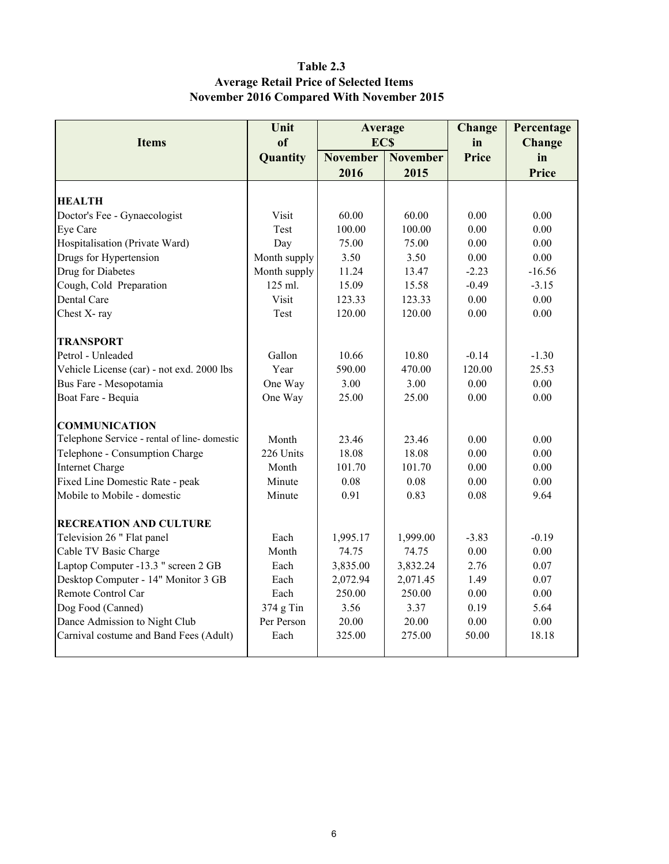### Table 2.3 Average Retail Price of Selected Items November 2016 Compared With November 2015

|                                              | Unit<br>Average |                 |                 |              | Percentage |
|----------------------------------------------|-----------------|-----------------|-----------------|--------------|------------|
| <b>Items</b>                                 | of              | <b>ECS</b>      |                 | in           | Change     |
|                                              | Quantity        | <b>November</b> | <b>November</b> | <b>Price</b> | in         |
|                                              |                 | 2016            | 2015            |              | Price      |
|                                              |                 |                 |                 |              |            |
| <b>HEALTH</b>                                |                 |                 |                 |              |            |
| Doctor's Fee - Gynaecologist                 | Visit           | 60.00           | 60.00           | 0.00         | 0.00       |
| Eye Care                                     | Test            | 100.00          | 100.00          | 0.00         | 0.00       |
| Hospitalisation (Private Ward)               | Day             | 75.00           | 75.00           | 0.00         | 0.00       |
| Drugs for Hypertension                       | Month supply    | 3.50            | 3.50            | 0.00         | 0.00       |
| Drug for Diabetes                            | Month supply    | 11.24           | 13.47           | $-2.23$      | $-16.56$   |
| Cough, Cold Preparation                      | 125 ml.         | 15.09           | 15.58           | $-0.49$      | $-3.15$    |
| Dental Care                                  | Visit           | 123.33          | 123.33          | 0.00         | 0.00       |
| Chest X-ray                                  | Test            | 120.00          | 120.00          | 0.00         | 0.00       |
| <b>TRANSPORT</b>                             |                 |                 |                 |              |            |
| Petrol - Unleaded                            | Gallon          | 10.66           | 10.80           | $-0.14$      | $-1.30$    |
| Vehicle License (car) - not exd. 2000 lbs    | Year            | 590.00          | 470.00          | 120.00       | 25.53      |
| Bus Fare - Mesopotamia                       | One Way         | 3.00            | 3.00            | 0.00         | 0.00       |
| Boat Fare - Bequia                           | One Way         | 25.00           | 25.00           | 0.00         | 0.00       |
| <b>COMMUNICATION</b>                         |                 |                 |                 |              |            |
| Telephone Service - rental of line- domestic | Month           | 23.46           | 23.46           | 0.00         | 0.00       |
| Telephone - Consumption Charge               | 226 Units       | 18.08           | 18.08           | 0.00         | 0.00       |
| <b>Internet Charge</b>                       | Month           | 101.70          | 101.70          | 0.00         | 0.00       |
| Fixed Line Domestic Rate - peak              | Minute          | 0.08            | 0.08            | 0.00         | 0.00       |
| Mobile to Mobile - domestic                  | Minute          | 0.91            | 0.83            | 0.08         | 9.64       |
| <b>RECREATION AND CULTURE</b>                |                 |                 |                 |              |            |
| Television 26 " Flat panel                   | Each            | 1,995.17        | 1,999.00        | $-3.83$      | $-0.19$    |
| Cable TV Basic Charge                        | Month           | 74.75           | 74.75           | $0.00\,$     | $0.00\,$   |
| Laptop Computer -13.3 " screen 2 GB          | Each            | 3,835.00        | 3,832.24        | 2.76         | 0.07       |
| Desktop Computer - 14" Monitor 3 GB          | Each            | 2,072.94        | 2,071.45        | 1.49         | 0.07       |
| Remote Control Car                           | Each            | 250.00          | 250.00          | 0.00         | 0.00       |
| Dog Food (Canned)                            | 374 g Tin       | 3.56            | 3.37            | 0.19         | 5.64       |
| Dance Admission to Night Club                | Per Person      | 20.00           | 20.00           | 0.00         | 0.00       |
| Carnival costume and Band Fees (Adult)       | Each            | 325.00          | 275.00          | 50.00        | 18.18      |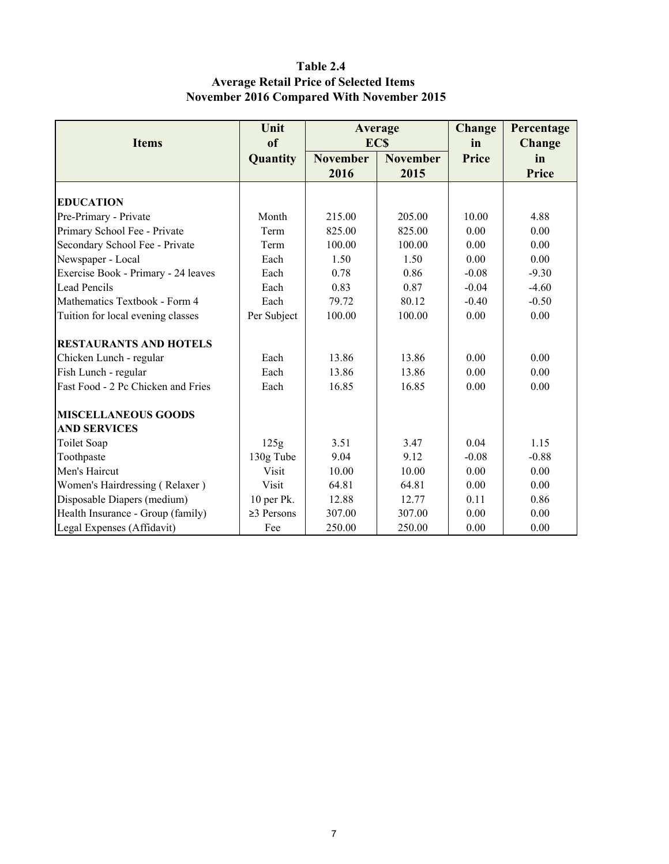### Table 2.4 Average Retail Price of Selected Items November 2016 Compared With November 2015

|                                     | Unit             |                 | Average         | Change  | Percentage |
|-------------------------------------|------------------|-----------------|-----------------|---------|------------|
| <b>Items</b>                        | of               |                 | <b>ECS</b>      | in      | Change     |
|                                     | Quantity         | <b>November</b> | <b>November</b> | Price   | in         |
|                                     |                  | 2016            | 2015            |         | Price      |
|                                     |                  |                 |                 |         |            |
| <b>EDUCATION</b>                    |                  |                 |                 |         |            |
| Pre-Primary - Private               | Month            | 215.00          | 205.00          | 10.00   | 4.88       |
| Primary School Fee - Private        | Term             | 825.00          | 825.00          | 0.00    | 0.00       |
| Secondary School Fee - Private      | Term             | 100.00          | 100.00          | 0.00    | 0.00       |
| Newspaper - Local                   | Each             | 1.50            | 1.50            | 0.00    | 0.00       |
| Exercise Book - Primary - 24 leaves | Each             | 0.78            | 0.86            | $-0.08$ | $-9.30$    |
| Lead Pencils                        | Each             | 0.83            | 0.87            | $-0.04$ | $-4.60$    |
| Mathematics Textbook - Form 4       | Each             | 79.72           | 80.12           | $-0.40$ | $-0.50$    |
| Tuition for local evening classes   | Per Subject      | 100.00          | 100.00          | 0.00    | 0.00       |
| <b>RESTAURANTS AND HOTELS</b>       |                  |                 |                 |         |            |
| Chicken Lunch - regular             | Each             | 13.86           | 13.86           | 0.00    | 0.00       |
| Fish Lunch - regular                | Each             | 13.86           | 13.86           | 0.00    | 0.00       |
| Fast Food - 2 Pc Chicken and Fries  | Each             | 16.85           | 16.85           | 0.00    | 0.00       |
| <b>MISCELLANEOUS GOODS</b>          |                  |                 |                 |         |            |
| <b>AND SERVICES</b>                 |                  |                 |                 |         |            |
| Toilet Soap                         | 125g             | 3.51            | 3.47            | 0.04    | 1.15       |
| Toothpaste                          | 130g Tube        | 9.04            | 9.12            | $-0.08$ | $-0.88$    |
| Men's Haircut                       | Visit            | 10.00           | 10.00           | 0.00    | 0.00       |
| Women's Hairdressing (Relaxer)      | <b>Visit</b>     | 64.81           | 64.81           | 0.00    | 0.00       |
| Disposable Diapers (medium)         | 10 per Pk.       | 12.88           | 12.77           | 0.11    | 0.86       |
| Health Insurance - Group (family)   | $\geq$ 3 Persons | 307.00          | 307.00          | 0.00    | 0.00       |
| Legal Expenses (Affidavit)          | Fee              | 250.00          | 250.00          | 0.00    | 0.00       |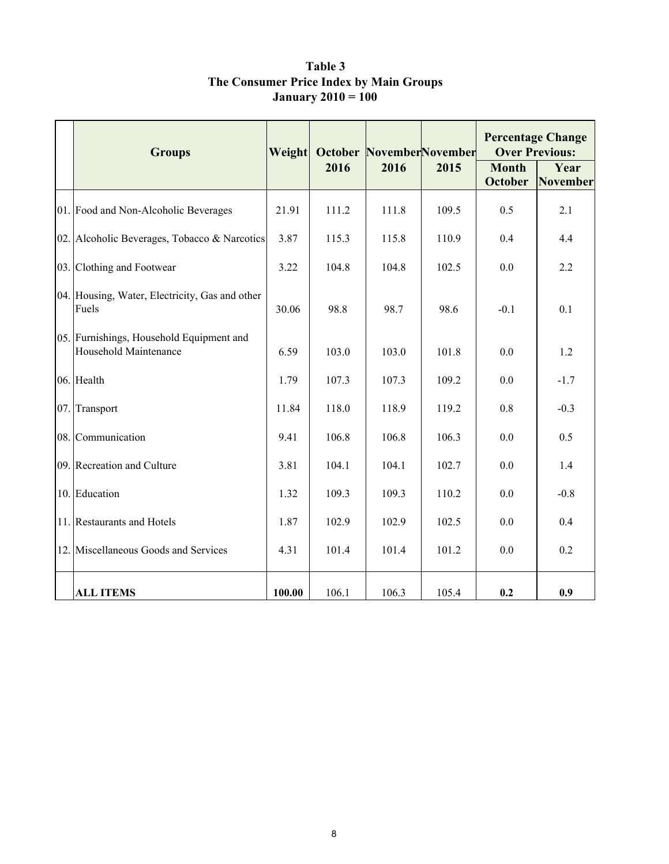|     | <b>Groups</b>                                                     | Weight |       |       | <b>October NovemberNovember</b> | <b>Percentage Change</b><br><b>Over Previous:</b> |                  |
|-----|-------------------------------------------------------------------|--------|-------|-------|---------------------------------|---------------------------------------------------|------------------|
|     |                                                                   |        | 2016  | 2016  | 2015                            | <b>Month</b><br><b>October</b>                    | Year<br>November |
|     | 01. Food and Non-Alcoholic Beverages                              | 21.91  | 111.2 | 111.8 | 109.5                           | 0.5                                               | 2.1              |
|     | 02. Alcoholic Beverages, Tobacco & Narcotics                      | 3.87   | 115.3 | 115.8 | 110.9                           | 0.4                                               | 4.4              |
|     | 03. Clothing and Footwear                                         | 3.22   | 104.8 | 104.8 | 102.5                           | 0.0                                               | 2.2              |
|     | 04. Housing, Water, Electricity, Gas and other<br>Fuels           | 30.06  | 98.8  | 98.7  | 98.6                            | $-0.1$                                            | 0.1              |
|     | 05. Furnishings, Household Equipment and<br>Household Maintenance | 6.59   | 103.0 | 103.0 | 101.8                           | 0.0                                               | 1.2              |
|     | 06. Health                                                        | 1.79   | 107.3 | 107.3 | 109.2                           | 0.0                                               | $-1.7$           |
| 07. | Transport                                                         | 11.84  | 118.0 | 118.9 | 119.2                           | 0.8                                               | $-0.3$           |
|     | 08. Communication                                                 | 9.41   | 106.8 | 106.8 | 106.3                           | 0.0                                               | 0.5              |
|     | 09. Recreation and Culture                                        | 3.81   | 104.1 | 104.1 | 102.7                           | 0.0                                               | 1.4              |
|     | 10. Education                                                     | 1.32   | 109.3 | 109.3 | 110.2                           | 0.0                                               | $-0.8$           |
|     | 11. Restaurants and Hotels                                        | 1.87   | 102.9 | 102.9 | 102.5                           | 0.0                                               | 0.4              |
|     | 12. Miscellaneous Goods and Services                              | 4.31   | 101.4 | 101.4 | 101.2                           | 0.0                                               | 0.2              |
|     | <b>ALL ITEMS</b>                                                  | 100.00 | 106.1 | 106.3 | 105.4                           | 0.2                                               | 0.9              |

Table 3 The Consumer Price Index by Main Groups January 2010 = 100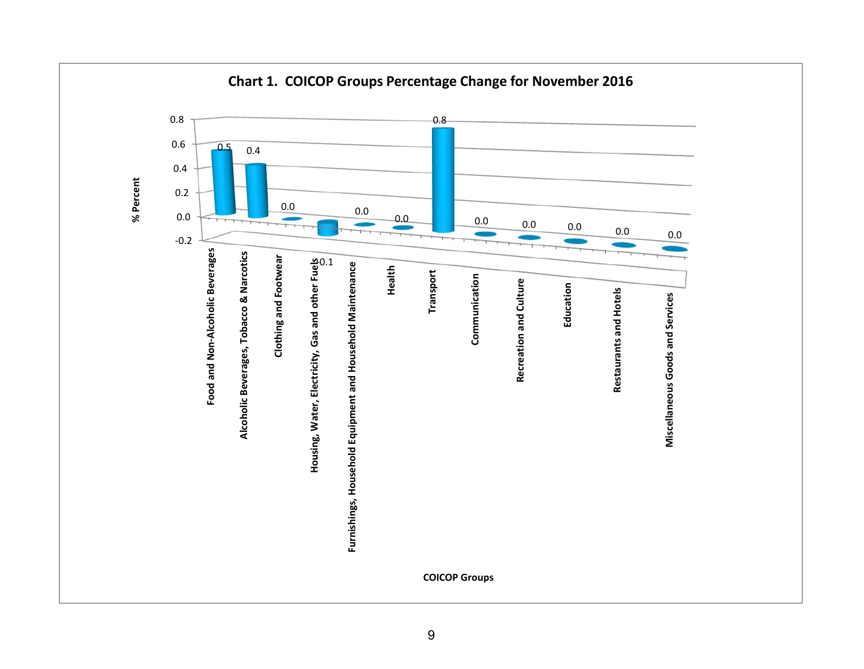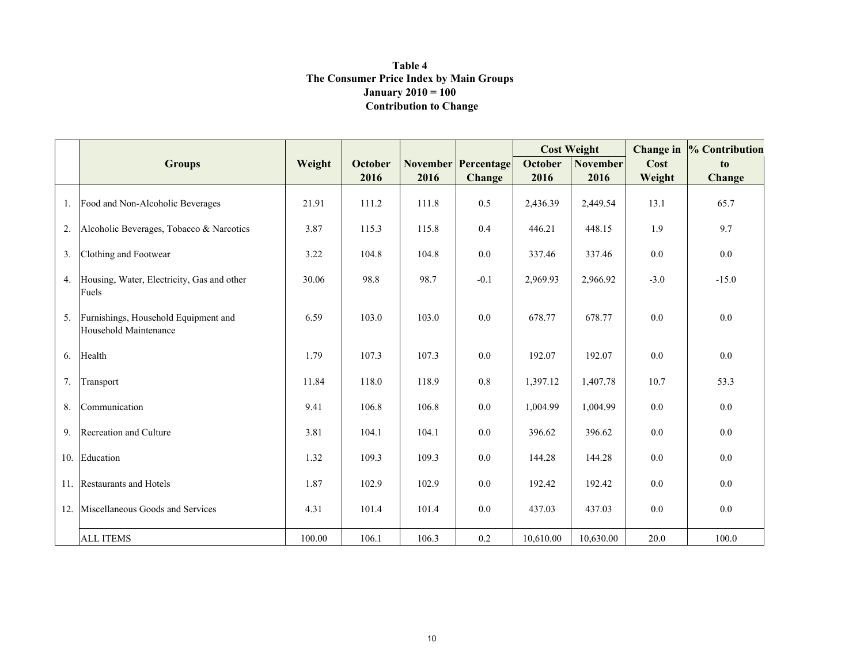#### Contribution to Change Table 4 The Consumer Price Index by Main Groups**January 2010** =  $100$

|                |                                                               |        |         |       |                            | <b>Cost Weight</b> |                 | Change in | % Contribution |
|----------------|---------------------------------------------------------------|--------|---------|-------|----------------------------|--------------------|-----------------|-----------|----------------|
|                | <b>Groups</b>                                                 | Weight | October |       | <b>November Percentage</b> | <b>October</b>     | <b>November</b> | Cost      | to             |
|                |                                                               |        | 2016    | 2016  | <b>Change</b>              | 2016               | 2016            | Weight    | Change         |
| 1.             | Food and Non-Alcoholic Beverages                              | 21.91  | 111.2   | 111.8 | 0.5                        | 2,436.39           | 2,449.54        | 13.1      | 65.7           |
| 2.             | Alcoholic Beverages, Tobacco & Narcotics                      | 3.87   | 115.3   | 115.8 | 0.4                        | 446.21             | 448.15          | 1.9       | 9.7            |
| 3.             | Clothing and Footwear                                         | 3.22   | 104.8   | 104.8 | 0.0                        | 337.46             | 337.46          | 0.0       | 0.0            |
| 4.             | Housing, Water, Electricity, Gas and other<br>Fuels           | 30.06  | 98.8    | 98.7  | $-0.1$                     | 2,969.93           | 2,966.92        | $-3.0$    | $-15.0$        |
| 5 <sub>1</sub> | Furnishings, Household Equipment and<br>Household Maintenance | 6.59   | 103.0   | 103.0 | 0.0                        | 678.77             | 678.77          | 0.0       | 0.0            |
| 6.             | Health                                                        | 1.79   | 107.3   | 107.3 | 0.0                        | 192.07             | 192.07          | 0.0       | 0.0            |
| 7.             | Transport                                                     | 11.84  | 118.0   | 118.9 | $0.8\,$                    | 1,397.12           | 1,407.78        | 10.7      | 53.3           |
| 8.             | Communication                                                 | 9.41   | 106.8   | 106.8 | 0.0                        | 1,004.99           | 1,004.99        | 0.0       | 0.0            |
| 9.             | Recreation and Culture                                        | 3.81   | 104.1   | 104.1 | 0.0                        | 396.62             | 396.62          | 0.0       | 0.0            |
| 10.            | Education                                                     | 1.32   | 109.3   | 109.3 | 0.0                        | 144.28             | 144.28          | 0.0       | 0.0            |
|                | 11. Restaurants and Hotels                                    | 1.87   | 102.9   | 102.9 | 0.0                        | 192.42             | 192.42          | 0.0       | 0.0            |
| 12.            | Miscellaneous Goods and Services                              | 4.31   | 101.4   | 101.4 | 0.0                        | 437.03             | 437.03          | 0.0       | 0.0            |
|                | <b>ALL ITEMS</b>                                              | 100.00 | 106.1   | 106.3 | 0.2                        | 10,610.00          | 10,630.00       | 20.0      | 100.0          |